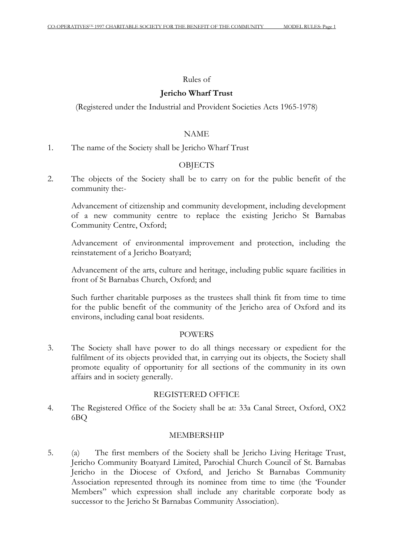#### Rules of

#### **Jericho Wharf Trust**

(Registered under the Industrial and Provident Societies Acts 1965-1978)

#### NAME

1. The name of the Society shall be Jericho Wharf Trust

# **OBJECTS**

2. The objects of the Society shall be to carry on for the public benefit of the community the:-

Advancement of citizenship and community development, including development of a new community centre to replace the existing Jericho St Barnabas Community Centre, Oxford;

Advancement of environmental improvement and protection, including the reinstatement of a Jericho Boatyard;

Advancement of the arts, culture and heritage, including public square facilities in front of St Barnabas Church, Oxford; and

Such further charitable purposes as the trustees shall think fit from time to time for the public benefit of the community of the Jericho area of Oxford and its environs, including canal boat residents.

#### POWERS

3. The Society shall have power to do all things necessary or expedient for the fulfilment of its objects provided that, in carrying out its objects, the Society shall promote equality of opportunity for all sections of the community in its own affairs and in society generally.

#### REGISTERED OFFICE

4. The Registered Office of the Society shall be at: 33a Canal Street, Oxford, OX2 6BQ

#### MEMBERSHIP

5. (a) The first members of the Society shall be Jericho Living Heritage Trust, Jericho Community Boatyard Limited, Parochial Church Council of St. Barnabas Jericho in the Diocese of Oxford, and Jericho St Barnabas Community Association represented through its nominee from time to time (the 'Founder Members" which expression shall include any charitable corporate body as successor to the Jericho St Barnabas Community Association).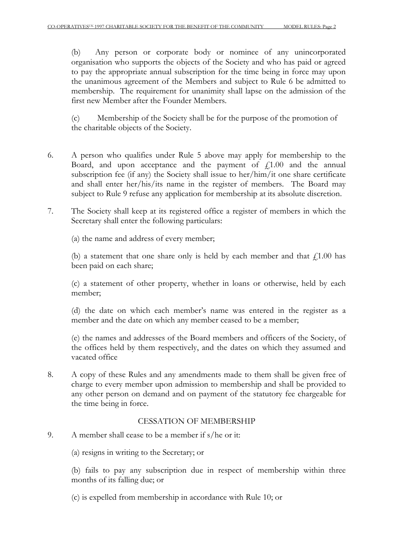(b) Any person or corporate body or nominee of any unincorporated organisation who supports the objects of the Society and who has paid or agreed to pay the appropriate annual subscription for the time being in force may upon the unanimous agreement of the Members and subject to Rule 6 be admitted to membership. The requirement for unanimity shall lapse on the admission of the first new Member after the Founder Members.

(c) Membership of the Society shall be for the purpose of the promotion of the charitable objects of the Society.

- 6. A person who qualifies under Rule 5 above may apply for membership to the Board, and upon acceptance and the payment of  $f(1.00)$  and the annual subscription fee (if any) the Society shall issue to her/him/it one share certificate and shall enter her/his/its name in the register of members. The Board may subject to Rule 9 refuse any application for membership at its absolute discretion.
- 7. The Society shall keep at its registered office a register of members in which the Secretary shall enter the following particulars:

(a) the name and address of every member;

(b) a statement that one share only is held by each member and that  $f(1.00)$  has been paid on each share;

(c) a statement of other property, whether in loans or otherwise, held by each member;

(d) the date on which each member's name was entered in the register as a member and the date on which any member ceased to be a member;

(e) the names and addresses of the Board members and officers of the Society, of the offices held by them respectively, and the dates on which they assumed and vacated office

8. A copy of these Rules and any amendments made to them shall be given free of charge to every member upon admission to membership and shall be provided to any other person on demand and on payment of the statutory fee chargeable for the time being in force.

# CESSATION OF MEMBERSHIP

- 9. A member shall cease to be a member if s/he or it:
	- (a) resigns in writing to the Secretary; or

(b) fails to pay any subscription due in respect of membership within three months of its falling due; or

(c) is expelled from membership in accordance with Rule 10; or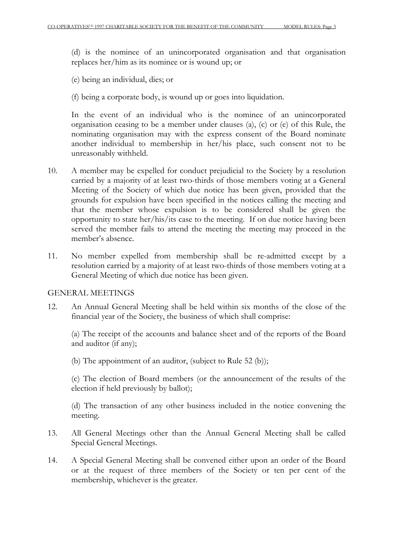(d) is the nominee of an unincorporated organisation and that organisation replaces her/him as its nominee or is wound up; or

(e) being an individual, dies; or

(f) being a corporate body, is wound up or goes into liquidation.

In the event of an individual who is the nominee of an unincorporated organisation ceasing to be a member under clauses (a), (c) or (e) of this Rule, the nominating organisation may with the express consent of the Board nominate another individual to membership in her/his place, such consent not to be unreasonably withheld.

- 10. A member may be expelled for conduct prejudicial to the Society by a resolution carried by a majority of at least two-thirds of those members voting at a General Meeting of the Society of which due notice has been given, provided that the grounds for expulsion have been specified in the notices calling the meeting and that the member whose expulsion is to be considered shall be given the opportunity to state her/his/its case to the meeting. If on due notice having been served the member fails to attend the meeting the meeting may proceed in the member's absence.
- 11. No member expelled from membership shall be re-admitted except by a resolution carried by a majority of at least two-thirds of those members voting at a General Meeting of which due notice has been given.

#### GENERAL MEETINGS

12. An Annual General Meeting shall be held within six months of the close of the financial year of the Society, the business of which shall comprise:

(a) The receipt of the accounts and balance sheet and of the reports of the Board and auditor (if any);

(b) The appointment of an auditor, (subject to Rule 52 (b));

(c) The election of Board members (or the announcement of the results of the election if held previously by ballot);

(d) The transaction of any other business included in the notice convening the meeting.

- 13. All General Meetings other than the Annual General Meeting shall be called Special General Meetings.
- 14. A Special General Meeting shall be convened either upon an order of the Board or at the request of three members of the Society or ten per cent of the membership, whichever is the greater.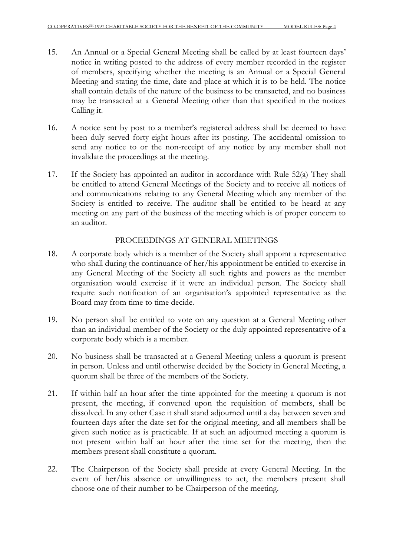- 15. An Annual or a Special General Meeting shall be called by at least fourteen days' notice in writing posted to the address of every member recorded in the register of members, specifying whether the meeting is an Annual or a Special General Meeting and stating the time, date and place at which it is to be held. The notice shall contain details of the nature of the business to be transacted, and no business may be transacted at a General Meeting other than that specified in the notices Calling it.
- 16. A notice sent by post to a member's registered address shall be deemed to have been duly served forty-eight hours after its posting. The accidental omission to send any notice to or the non-receipt of any notice by any member shall not invalidate the proceedings at the meeting.
- 17. If the Society has appointed an auditor in accordance with Rule 52(a) They shall be entitled to attend General Meetings of the Society and to receive all notices of and communications relating to any General Meeting which any member of the Society is entitled to receive. The auditor shall be entitled to be heard at any meeting on any part of the business of the meeting which is of proper concern to an auditor.

# PROCEEDINGS AT GENERAL MEETINGS

- 18. A corporate body which is a member of the Society shall appoint a representative who shall during the continuance of her/his appointment be entitled to exercise in any General Meeting of the Society all such rights and powers as the member organisation would exercise if it were an individual person. The Society shall require such notification of an organisation's appointed representative as the Board may from time to time decide.
- 19. No person shall be entitled to vote on any question at a General Meeting other than an individual member of the Society or the duly appointed representative of a corporate body which is a member.
- 20. No business shall be transacted at a General Meeting unless a quorum is present in person. Unless and until otherwise decided by the Society in General Meeting, a quorum shall be three of the members of the Society.
- 21. If within half an hour after the time appointed for the meeting a quorum is not present, the meeting, if convened upon the requisition of members, shall be dissolved. In any other Case it shall stand adjourned until a day between seven and fourteen days after the date set for the original meeting, and all members shall be given such notice as is practicable. If at such an adjourned meeting a quorum is not present within half an hour after the time set for the meeting, then the members present shall constitute a quorum.
- 22. The Chairperson of the Society shall preside at every General Meeting. In the event of her/his absence or unwillingness to act, the members present shall choose one of their number to be Chairperson of the meeting.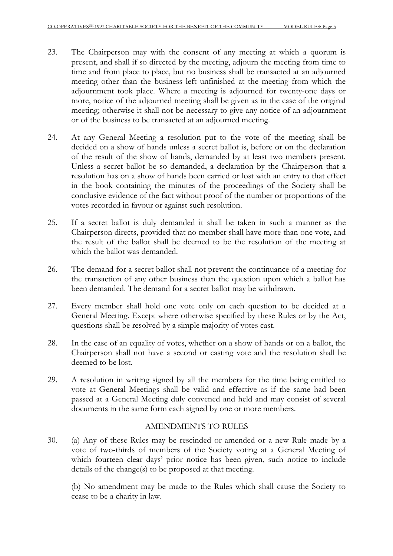- 23. The Chairperson may with the consent of any meeting at which a quorum is present, and shall if so directed by the meeting, adjourn the meeting from time to time and from place to place, but no business shall be transacted at an adjourned meeting other than the business left unfinished at the meeting from which the adjournment took place. Where a meeting is adjourned for twenty-one days or more, notice of the adjourned meeting shall be given as in the case of the original meeting; otherwise it shall not be necessary to give any notice of an adjournment or of the business to be transacted at an adjourned meeting.
- 24. At any General Meeting a resolution put to the vote of the meeting shall be decided on a show of hands unless a secret ballot is, before or on the declaration of the result of the show of hands, demanded by at least two members present. Unless a secret ballot be so demanded, a declaration by the Chairperson that a resolution has on a show of hands been carried or lost with an entry to that effect in the book containing the minutes of the proceedings of the Society shall be conclusive evidence of the fact without proof of the number or proportions of the votes recorded in favour or against such resolution.
- 25. If a secret ballot is duly demanded it shall be taken in such a manner as the Chairperson directs, provided that no member shall have more than one vote, and the result of the ballot shall be deemed to be the resolution of the meeting at which the ballot was demanded.
- 26. The demand for a secret ballot shall not prevent the continuance of a meeting for the transaction of any other business than the question upon which a ballot has been demanded. The demand for a secret ballot may be withdrawn.
- 27. Every member shall hold one vote only on each question to be decided at a General Meeting. Except where otherwise specified by these Rules or by the Act, questions shall be resolved by a simple majority of votes cast.
- 28. In the case of an equality of votes, whether on a show of hands or on a ballot, the Chairperson shall not have a second or casting vote and the resolution shall be deemed to be lost.
- 29. A resolution in writing signed by all the members for the time being entitled to vote at General Meetings shall be valid and effective as if the same had been passed at a General Meeting duly convened and held and may consist of several documents in the same form each signed by one or more members.

# AMENDMENTS TO RULES

30. (a) Any of these Rules may be rescinded or amended or a new Rule made by a vote of two-thirds of members of the Society voting at a General Meeting of which fourteen clear days' prior notice has been given, such notice to include details of the change(s) to be proposed at that meeting.

(b) No amendment may be made to the Rules which shall cause the Society to cease to be a charity in law.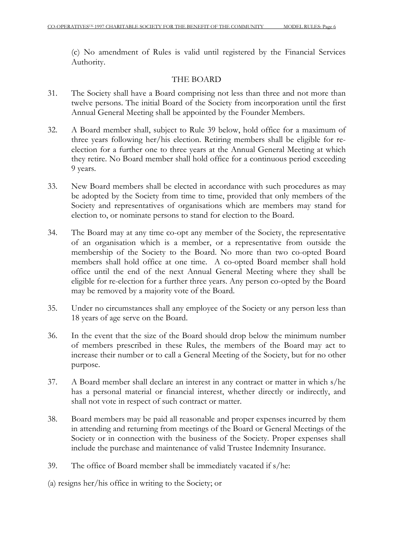(c) No amendment of Rules is valid until registered by the Financial Services Authority.

# THE BOARD

- 31. The Society shall have a Board comprising not less than three and not more than twelve persons. The initial Board of the Society from incorporation until the first Annual General Meeting shall be appointed by the Founder Members.
- 32. A Board member shall, subject to Rule 39 below, hold office for a maximum of three years following her/his election. Retiring members shall be eligible for reelection for a further one to three years at the Annual General Meeting at which they retire. No Board member shall hold office for a continuous period exceeding 9 years.
- 33. New Board members shall be elected in accordance with such procedures as may be adopted by the Society from time to time, provided that only members of the Society and representatives of organisations which are members may stand for election to, or nominate persons to stand for election to the Board.
- 34. The Board may at any time co-opt any member of the Society, the representative of an organisation which is a member, or a representative from outside the membership of the Society to the Board. No more than two co-opted Board members shall hold office at one time. A co-opted Board member shall hold office until the end of the next Annual General Meeting where they shall be eligible for re-election for a further three years. Any person co-opted by the Board may be removed by a majority vote of the Board.
- 35. Under no circumstances shall any employee of the Society or any person less than 18 years of age serve on the Board.
- 36. In the event that the size of the Board should drop below the minimum number of members prescribed in these Rules, the members of the Board may act to increase their number or to call a General Meeting of the Society, but for no other purpose.
- 37. A Board member shall declare an interest in any contract or matter in which s/he has a personal material or financial interest, whether directly or indirectly, and shall not vote in respect of such contract or matter.
- 38. Board members may be paid all reasonable and proper expenses incurred by them in attending and returning from meetings of the Board or General Meetings of the Society or in connection with the business of the Society. Proper expenses shall include the purchase and maintenance of valid Trustee Indemnity Insurance.
- 39. The office of Board member shall be immediately vacated if s/he:
- (a) resigns her/his office in writing to the Society; or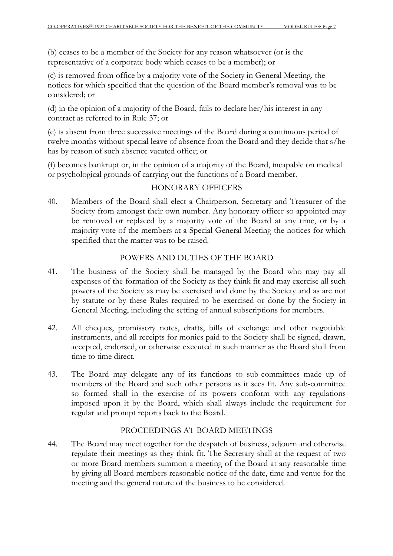(b) ceases to be a member of the Society for any reason whatsoever (or is the representative of a corporate body which ceases to be a member); or

(c) is removed from office by a majority vote of the Society in General Meeting, the notices for which specified that the question of the Board member's removal was to be considered; or

(d) in the opinion of a majority of the Board, fails to declare her/his interest in any contract as referred to in Rule 37; or

(e) is absent from three successive meetings of the Board during a continuous period of twelve months without special leave of absence from the Board and they decide that s/he has by reason of such absence vacated office; or

(f) becomes bankrupt or, in the opinion of a majority of the Board, incapable on medical or psychological grounds of carrying out the functions of a Board member.

### HONORARY OFFICERS

40. Members of the Board shall elect a Chairperson, Secretary and Treasurer of the Society from amongst their own number. Any honorary officer so appointed may be removed or replaced by a majority vote of the Board at any time, or by a majority vote of the members at a Special General Meeting the notices for which specified that the matter was to be raised.

### POWERS AND DUTIES OF THE BOARD

- 41. The business of the Society shall be managed by the Board who may pay all expenses of the formation of the Society as they think fit and may exercise all such powers of the Society as may be exercised and done by the Society and as are not by statute or by these Rules required to be exercised or done by the Society in General Meeting, including the setting of annual subscriptions for members.
- 42. All cheques, promissory notes, drafts, bills of exchange and other negotiable instruments, and all receipts for monies paid to the Society shall be signed, drawn, accepted, endorsed, or otherwise executed in such manner as the Board shall from time to time direct.
- 43. The Board may delegate any of its functions to sub-committees made up of members of the Board and such other persons as it sees fit. Any sub-committee so formed shall in the exercise of its powers conform with any regulations imposed upon it by the Board, which shall always include the requirement for regular and prompt reports back to the Board.

### PROCEEDINGS AT BOARD MEETINGS

44. The Board may meet together for the despatch of business, adjourn and otherwise regulate their meetings as they think fit. The Secretary shall at the request of two or more Board members summon a meeting of the Board at any reasonable time by giving all Board members reasonable notice of the date, time and venue for the meeting and the general nature of the business to be considered.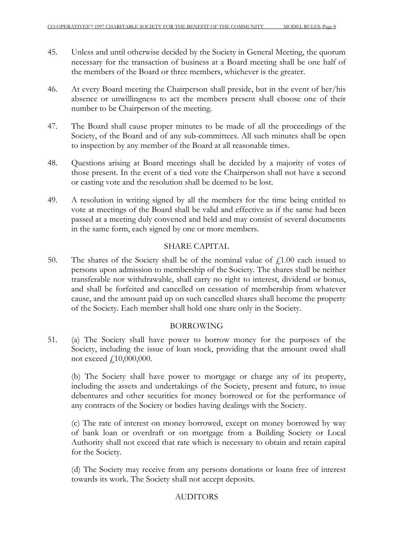- 45. Unless and until otherwise decided by the Society in General Meeting, the quorum necessary for the transaction of business at a Board meeting shall be one half of the members of the Board or three members, whichever is the greater.
- 46. At every Board meeting the Chairperson shall preside, but in the event of her/his absence or unwillingness to act the members present shall choose one of their number to be Chairperson of the meeting.
- 47. The Board shall cause proper minutes to be made of all the proceedings of the Society, of the Board and of any sub-committees. All such minutes shall be open to inspection by any member of the Board at all reasonable times.
- 48. Questions arising at Board meetings shall be decided by a majority of votes of those present. In the event of a tied vote the Chairperson shall not have a second or casting vote and the resolution shall be deemed to be lost.
- 49. A resolution in writing signed by all the members for the time being entitled to vote at meetings of the Board shall be valid and effective as if the same had been passed at a meeting duly convened and held and may consist of several documents in the same form, each signed by one or more members.

### SHARE CAPITAL

50. The shares of the Society shall be of the nominal value of  $f(1.00)$  each issued to persons upon admission to membership of the Society. The shares shall be neither transferable nor withdrawable, shall carry no right to interest, dividend or bonus, and shall be forfeited and cancelled on cessation of membership from whatever cause, and the amount paid up on such cancelled shares shall become the property of the Society. Each member shall hold one share only in the Society.

#### BORROWING

51. (a) The Society shall have power to borrow money for the purposes of the Society, including the issue of loan stock, providing that the amount owed shall not exceed £10,000,000.

(b) The Society shall have power to mortgage or charge any of its property, including the assets and undertakings of the Society, present and future, to issue debentures and other securities for money borrowed or for the performance of any contracts of the Society or bodies having dealings with the Society.

(c) The rate of interest on money borrowed, except on money borrowed by way of bank loan or overdraft or on mortgage from a Building Society or Local Authority shall not exceed that rate which is necessary to obtain and retain capital for the Society.

(d) The Society may receive from any persons donations or loans free of interest towards its work. The Society shall not accept deposits.

# **AUDITORS**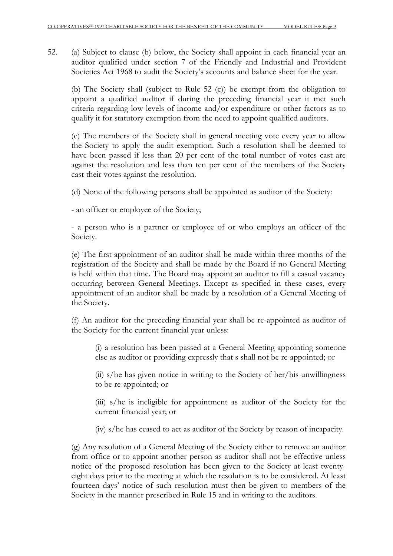52. (a) Subject to clause (b) below, the Society shall appoint in each financial year an auditor qualified under section 7 of the Friendly and Industrial and Provident Societies Act 1968 to audit the Society's accounts and balance sheet for the year.

(b) The Society shall (subject to Rule 52 (c)) be exempt from the obligation to appoint a qualified auditor if during the preceding financial year it met such criteria regarding low levels of income and/or expenditure or other factors as to qualify it for statutory exemption from the need to appoint qualified auditors.

(c) The members of the Society shall in general meeting vote every year to allow the Society to apply the audit exemption. Such a resolution shall be deemed to have been passed if less than 20 per cent of the total number of votes cast are against the resolution and less than ten per cent of the members of the Society cast their votes against the resolution.

(d) None of the following persons shall be appointed as auditor of the Society:

- an officer or employee of the Society;

- a person who is a partner or employee of or who employs an officer of the Society.

(e) The first appointment of an auditor shall be made within three months of the registration of the Society and shall be made by the Board if no General Meeting is held within that time. The Board may appoint an auditor to fill a casual vacancy occurring between General Meetings. Except as specified in these cases, every appointment of an auditor shall be made by a resolution of a General Meeting of the Society.

(f) An auditor for the preceding financial year shall be re-appointed as auditor of the Society for the current financial year unless:

(i) a resolution has been passed at a General Meeting appointing someone else as auditor or providing expressly that s shall not be re-appointed; or

(ii) s/he has given notice in writing to the Society of her/his unwillingness to be re-appointed; or

(iii) s/he is ineligible for appointment as auditor of the Society for the current financial year; or

(iv) s/he has ceased to act as auditor of the Society by reason of incapacity.

(g) Any resolution of a General Meeting of the Society either to remove an auditor from office or to appoint another person as auditor shall not be effective unless notice of the proposed resolution has been given to the Society at least twentyeight days prior to the meeting at which the resolution is to be considered. At least fourteen days' notice of such resolution must then be given to members of the Society in the manner prescribed in Rule 15 and in writing to the auditors.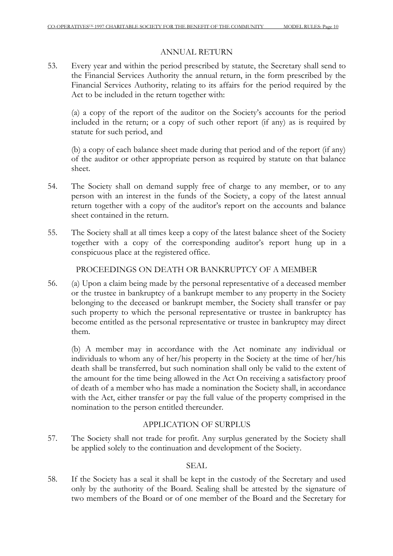# ANNUAL RETURN

53. Every year and within the period prescribed by statute, the Secretary shall send to the Financial Services Authority the annual return, in the form prescribed by the Financial Services Authority, relating to its affairs for the period required by the Act to be included in the return together with:

(a) a copy of the report of the auditor on the Society's accounts for the period included in the return; or a copy of such other report (if any) as is required by statute for such period, and

(b) a copy of each balance sheet made during that period and of the report (if any) of the auditor or other appropriate person as required by statute on that balance sheet.

- 54. The Society shall on demand supply free of charge to any member, or to any person with an interest in the funds of the Society, a copy of the latest annual return together with a copy of the auditor's report on the accounts and balance sheet contained in the return.
- 55. The Society shall at all times keep a copy of the latest balance sheet of the Society together with a copy of the corresponding auditor's report hung up in a conspicuous place at the registered office.

PROCEEDINGS ON DEATH OR BANKRUPTCY OF A MEMBER

56. (a) Upon a claim being made by the personal representative of a deceased member or the trustee in bankruptcy of a bankrupt member to any property in the Society belonging to the deceased or bankrupt member, the Society shall transfer or pay such property to which the personal representative or trustee in bankruptcy has become entitled as the personal representative or trustee in bankruptcy may direct them.

(b) A member may in accordance with the Act nominate any individual or individuals to whom any of her/his property in the Society at the time of her/his death shall be transferred, but such nomination shall only be valid to the extent of the amount for the time being allowed in the Act On receiving a satisfactory proof of death of a member who has made a nomination the Society shall, in accordance with the Act, either transfer or pay the full value of the property comprised in the nomination to the person entitled thereunder.

# APPLICATION OF SURPLUS

57. The Society shall not trade for profit. Any surplus generated by the Society shall be applied solely to the continuation and development of the Society.

# SEAL

58. If the Society has a seal it shall be kept in the custody of the Secretary and used only by the authority of the Board. Sealing shall be attested by the signature of two members of the Board or of one member of the Board and the Secretary for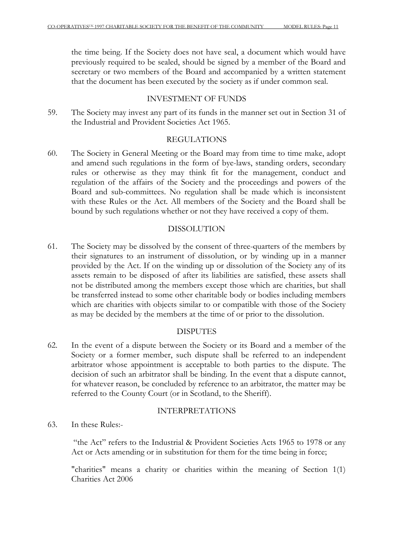the time being. If the Society does not have seal, a document which would have previously required to be sealed, should be signed by a member of the Board and secretary or two members of the Board and accompanied by a written statement that the document has been executed by the society as if under common seal.

### INVESTMENT OF FUNDS

59. The Society may invest any part of its funds in the manner set out in Section 31 of the Industrial and Provident Societies Act 1965.

### REGULATIONS

60. The Society in General Meeting or the Board may from time to time make, adopt and amend such regulations in the form of bye-laws, standing orders, secondary rules or otherwise as they may think fit for the management, conduct and regulation of the affairs of the Society and the proceedings and powers of the Board and sub-committees. No regulation shall be made which is inconsistent with these Rules or the Act. All members of the Society and the Board shall be bound by such regulations whether or not they have received a copy of them.

# DISSOLUTION

61. The Society may be dissolved by the consent of three-quarters of the members by their signatures to an instrument of dissolution, or by winding up in a manner provided by the Act. If on the winding up or dissolution of the Society any of its assets remain to be disposed of after its liabilities are satisfied, these assets shall not be distributed among the members except those which are charities, but shall be transferred instead to some other charitable body or bodies including members which are charities with objects similar to or compatible with those of the Society as may be decided by the members at the time of or prior to the dissolution.

# DISPUTES

62. In the event of a dispute between the Society or its Board and a member of the Society or a former member, such dispute shall be referred to an independent arbitrator whose appointment is acceptable to both parties to the dispute. The decision of such an arbitrator shall be binding. In the event that a dispute cannot, for whatever reason, be concluded by reference to an arbitrator, the matter may be referred to the County Court (or in Scotland, to the Sheriff).

### INTERPRETATIONS

63. In these Rules:-

 "the Act" refers to the Industrial & Provident Societies Acts 1965 to 1978 or any Act or Acts amending or in substitution for them for the time being in force;

"charities" means a charity or charities within the meaning of Section 1(1) Charities Act 2006